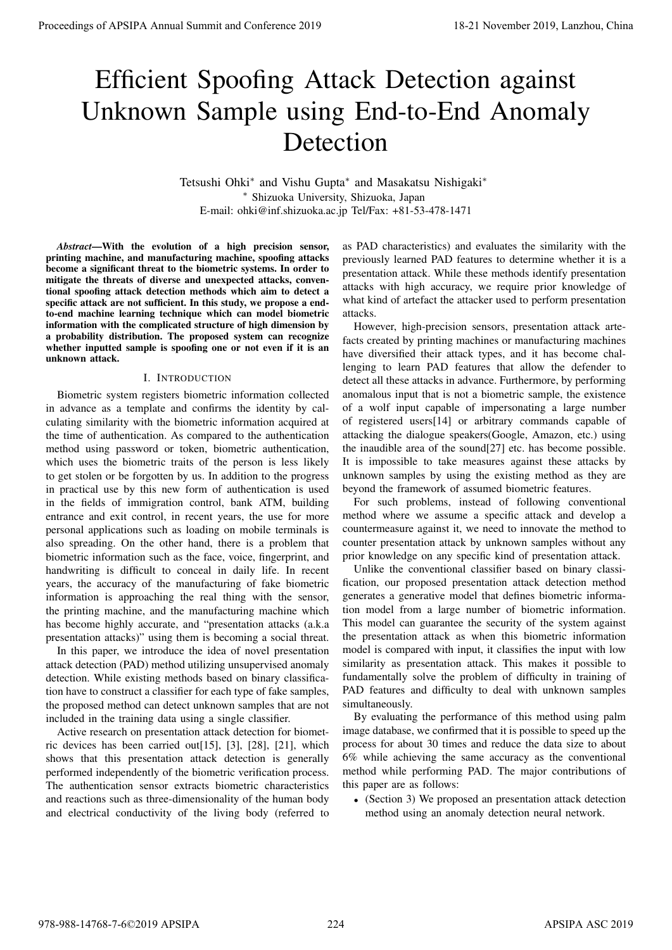# Efficient Spoofing Attack Detection against Unknown Sample using End-to-End Anomaly Detection

Tetsushi Ohki*<sup>∗</sup>* and Vishu Gupta*<sup>∗</sup>* and Masakatsu Nishigaki*<sup>∗</sup> <sup>∗</sup>* Shizuoka University, Shizuoka, Japan E-mail: ohki@inf.shizuoka.ac.jp Tel/Fax: +81-53-478-1471

*Abstract*—With the evolution of a high precision sensor, printing machine, and manufacturing machine, spoofing attacks become a significant threat to the biometric systems. In order to mitigate the threats of diverse and unexpected attacks, conventional spoofing attack detection methods which aim to detect a specific attack are not sufficient. In this study, we propose a endto-end machine learning technique which can model biometric information with the complicated structure of high dimension by a probability distribution. The proposed system can recognize whether inputted sample is spoofing one or not even if it is an unknown attack.

## I. INTRODUCTION

Biometric system registers biometric information collected in advance as a template and confirms the identity by calculating similarity with the biometric information acquired at the time of authentication. As compared to the authentication method using password or token, biometric authentication, which uses the biometric traits of the person is less likely to get stolen or be forgotten by us. In addition to the progress in practical use by this new form of authentication is used in the fields of immigration control, bank ATM, building entrance and exit control, in recent years, the use for more personal applications such as loading on mobile terminals is also spreading. On the other hand, there is a problem that biometric information such as the face, voice, fingerprint, and handwriting is difficult to conceal in daily life. In recent years, the accuracy of the manufacturing of fake biometric information is approaching the real thing with the sensor, the printing machine, and the manufacturing machine which has become highly accurate, and "presentation attacks (a.k.a presentation attacks)" using them is becoming a social threat. Proceedings of APSIPA Annual Summit and Conference 2019 18-21 November 2019, Lanzhou, China 978-988-14768-7-6©2019 APSIPA 224 APSIPA ASC 2019

In this paper, we introduce the idea of novel presentation attack detection (PAD) method utilizing unsupervised anomaly detection. While existing methods based on binary classification have to construct a classifier for each type of fake samples, the proposed method can detect unknown samples that are not included in the training data using a single classifier.

Active research on presentation attack detection for biometric devices has been carried out[15], [3], [28], [21], which shows that this presentation attack detection is generally performed independently of the biometric verification process. The authentication sensor extracts biometric characteristics and reactions such as three-dimensionality of the human body and electrical conductivity of the living body (referred to

as PAD characteristics) and evaluates the similarity with the previously learned PAD features to determine whether it is a presentation attack. While these methods identify presentation attacks with high accuracy, we require prior knowledge of what kind of artefact the attacker used to perform presentation attacks.

However, high-precision sensors, presentation attack artefacts created by printing machines or manufacturing machines have diversified their attack types, and it has become challenging to learn PAD features that allow the defender to detect all these attacks in advance. Furthermore, by performing anomalous input that is not a biometric sample, the existence of a wolf input capable of impersonating a large number of registered users[14] or arbitrary commands capable of attacking the dialogue speakers(Google, Amazon, etc.) using the inaudible area of the sound[27] etc. has become possible. It is impossible to take measures against these attacks by unknown samples by using the existing method as they are beyond the framework of assumed biometric features.

For such problems, instead of following conventional method where we assume a specific attack and develop a countermeasure against it, we need to innovate the method to counter presentation attack by unknown samples without any prior knowledge on any specific kind of presentation attack.

Unlike the conventional classifier based on binary classification, our proposed presentation attack detection method generates a generative model that defines biometric information model from a large number of biometric information. This model can guarantee the security of the system against the presentation attack as when this biometric information model is compared with input, it classifies the input with low similarity as presentation attack. This makes it possible to fundamentally solve the problem of difficulty in training of PAD features and difficulty to deal with unknown samples simultaneously.

By evaluating the performance of this method using palm image database, we confirmed that it is possible to speed up the process for about 30 times and reduce the data size to about 6% while achieving the same accuracy as the conventional method while performing PAD. The major contributions of this paper are as follows:

*•* (Section 3) We proposed an presentation attack detection method using an anomaly detection neural network.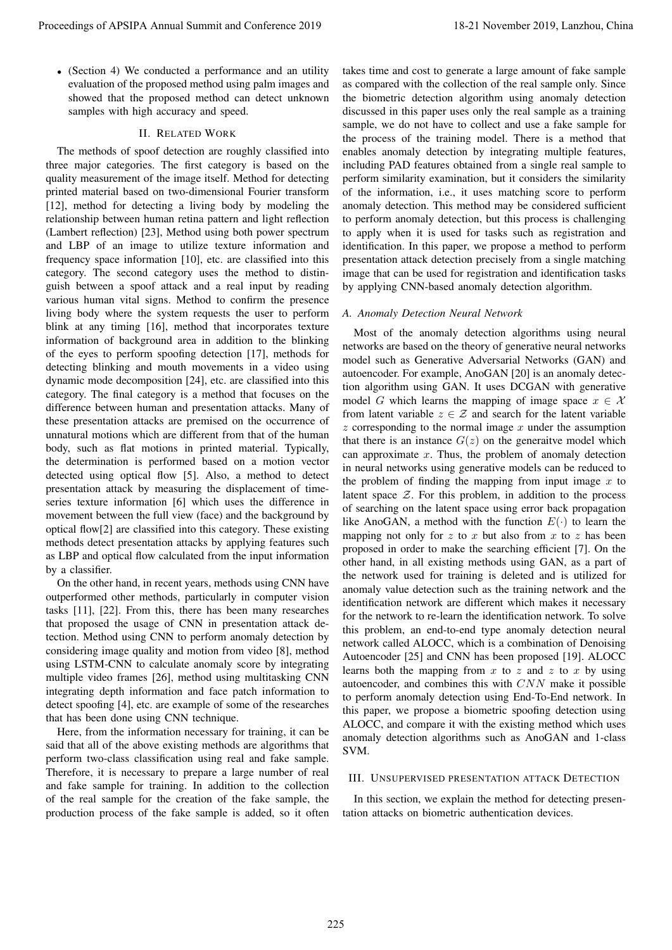*•* (Section 4) We conducted a performance and an utility evaluation of the proposed method using palm images and showed that the proposed method can detect unknown samples with high accuracy and speed.

# II. RELATED WORK

The methods of spoof detection are roughly classified into three major categories. The first category is based on the quality measurement of the image itself. Method for detecting printed material based on two-dimensional Fourier transform [12], method for detecting a living body by modeling the relationship between human retina pattern and light reflection (Lambert reflection) [23], Method using both power spectrum and LBP of an image to utilize texture information and frequency space information [10], etc. are classified into this category. The second category uses the method to distinguish between a spoof attack and a real input by reading various human vital signs. Method to confirm the presence living body where the system requests the user to perform blink at any timing [16], method that incorporates texture information of background area in addition to the blinking of the eyes to perform spoofing detection [17], methods for detecting blinking and mouth movements in a video using dynamic mode decomposition [24], etc. are classified into this category. The final category is a method that focuses on the difference between human and presentation attacks. Many of these presentation attacks are premised on the occurrence of unnatural motions which are different from that of the human body, such as flat motions in printed material. Typically, the determination is performed based on a motion vector detected using optical flow [5]. Also, a method to detect presentation attack by measuring the displacement of timeseries texture information [6] which uses the difference in movement between the full view (face) and the background by optical flow[2] are classified into this category. These existing methods detect presentation attacks by applying features such as LBP and optical flow calculated from the input information by a classifier.

On the other hand, in recent years, methods using CNN have outperformed other methods, particularly in computer vision tasks [11], [22]. From this, there has been many researches that proposed the usage of CNN in presentation attack detection. Method using CNN to perform anomaly detection by considering image quality and motion from video [8], method using LSTM-CNN to calculate anomaly score by integrating multiple video frames [26], method using multitasking CNN integrating depth information and face patch information to detect spoofing [4], etc. are example of some of the researches that has been done using CNN technique.

Here, from the information necessary for training, it can be said that all of the above existing methods are algorithms that perform two-class classification using real and fake sample. Therefore, it is necessary to prepare a large number of real and fake sample for training. In addition to the collection of the real sample for the creation of the fake sample, the production process of the fake sample is added, so it often

takes time and cost to generate a large amount of fake sample as compared with the collection of the real sample only. Since the biometric detection algorithm using anomaly detection discussed in this paper uses only the real sample as a training sample, we do not have to collect and use a fake sample for the process of the training model. There is a method that enables anomaly detection by integrating multiple features, including PAD features obtained from a single real sample to perform similarity examination, but it considers the similarity of the information, i.e., it uses matching score to perform anomaly detection. This method may be considered sufficient to perform anomaly detection, but this process is challenging to apply when it is used for tasks such as registration and identification. In this paper, we propose a method to perform presentation attack detection precisely from a single matching image that can be used for registration and identification tasks by applying CNN-based anomaly detection algorithm.

## *A. Anomaly Detection Neural Network*

Most of the anomaly detection algorithms using neural networks are based on the theory of generative neural networks model such as Generative Adversarial Networks (GAN) and autoencoder. For example, AnoGAN [20] is an anomaly detection algorithm using GAN. It uses DCGAN with generative model *G* which learns the mapping of image space  $x \in \mathcal{X}$ from latent variable  $z \in \mathcal{Z}$  and search for the latent variable *z* corresponding to the normal image *x* under the assumption that there is an instance  $G(z)$  on the generaitve model which can approximate *x*. Thus, the problem of anomaly detection in neural networks using generative models can be reduced to the problem of finding the mapping from input image *x* to latent space  $Z$ . For this problem, in addition to the process of searching on the latent space using error back propagation like AnoGAN, a method with the function  $E(\cdot)$  to learn the mapping not only for  $z$  to  $x$  but also from  $x$  to  $z$  has been proposed in order to make the searching efficient [7]. On the other hand, in all existing methods using GAN, as a part of the network used for training is deleted and is utilized for anomaly value detection such as the training network and the identification network are different which makes it necessary for the network to re-learn the identification network. To solve this problem, an end-to-end type anomaly detection neural network called ALOCC, which is a combination of Denoising Autoencoder [25] and CNN has been proposed [19]. ALOCC learns both the mapping from *x* to *z* and *z* to *x* by using autoencoder, and combines this with *CNN* make it possible to perform anomaly detection using End-To-End network. In this paper, we propose a biometric spoofing detection using ALOCC, and compare it with the existing method which uses anomaly detection algorithms such as AnoGAN and 1-class SVM. Proceeding of APSIPA Annual Summit at China 2019 18-21 November 2019 18-21 November 2019 18-21 November 2019 18-21 November 2019 18-21 November 2019 18-21 November 2019 18-21 November 2019 18-21 November 2019 18-21 Novemb

#### III. UNSUPERVISED PRESENTATION ATTACK DETECTION

In this section, we explain the method for detecting presentation attacks on biometric authentication devices.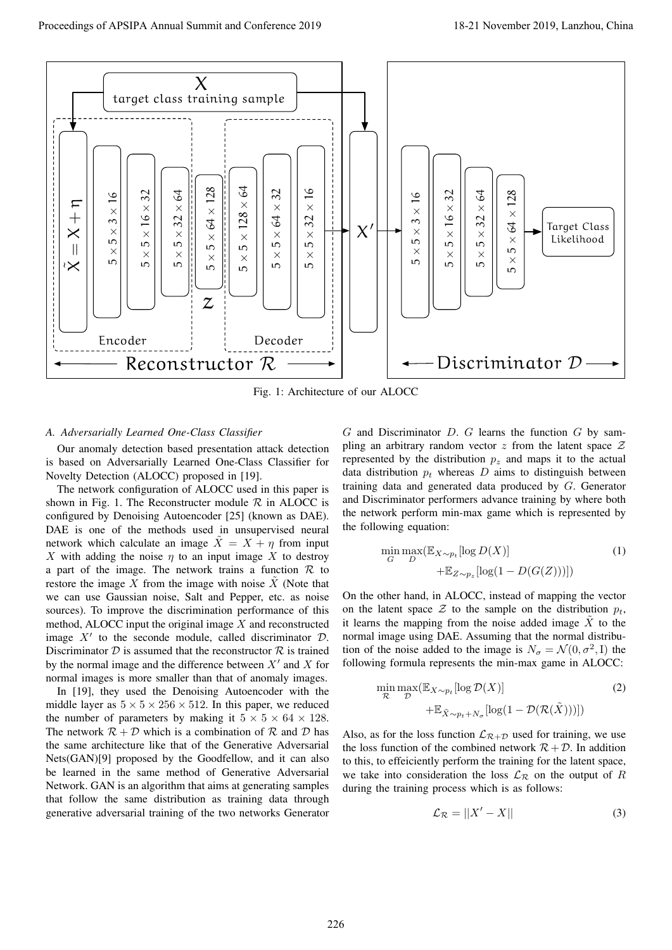

Fig. 1: Architecture of our ALOCC

#### *A. Adversarially Learned One-Class Classifier*

Our anomaly detection based presentation attack detection is based on Adversarially Learned One-Class Classifier for Novelty Detection (ALOCC) proposed in [19].

The network configuration of ALOCC used in this paper is shown in Fig. 1. The Reconstructer module  $R$  in ALOCC is configured by Denoising Autoencoder [25] (known as DAE). DAE is one of the methods used in unsupervised neural network which calculate an image  $\tilde{X} = X + \eta$  from input *X* with adding the noise  $\eta$  to an input image *X* to destroy a part of the image. The network trains a function *R* to restore the image  $X$  from the image with noise  $\tilde{X}$  (Note that we can use Gaussian noise, Salt and Pepper, etc. as noise sources). To improve the discrimination performance of this method, ALOCC input the original image *X* and reconstructed image *X′* to the seconde module, called discriminator *D*. Discriminator  $D$  is assumed that the reconstructor  $R$  is trained by the normal image and the difference between *X′* and *X* for normal images is more smaller than that of anomaly images.

In [19], they used the Denoising Autoencoder with the middle layer as  $5 \times 5 \times 256 \times 512$ . In this paper, we reduced the number of parameters by making it  $5 \times 5 \times 64 \times 128$ . The network  $\mathcal{R} + \mathcal{D}$  which is a combination of  $\mathcal{R}$  and  $\mathcal{D}$  has the same architecture like that of the Generative Adversarial Nets(GAN)[9] proposed by the Goodfellow, and it can also be learned in the same method of Generative Adversarial Network. GAN is an algorithm that aims at generating samples that follow the same distribution as training data through generative adversarial training of the two networks Generator

*G* and Discriminator *D*. *G* learns the function *G* by sampling an arbitrary random vector *z* from the latent space *Z* represented by the distribution  $p_z$  and maps it to the actual data distribution  $p_t$  whereas  $D$  aims to distinguish between training data and generated data produced by *G*. Generator and Discriminator performers advance training by where both the network perform min-max game which is represented by the following equation:

$$
\min_{G} \max_{D} (\mathbb{E}_{X \sim p_t} [\log D(X)] \tag{1}
$$
\n
$$
+ \mathbb{E}_{Z \sim p_z} [\log(1 - D(G(Z)))] )
$$

On the other hand, in ALOCC, instead of mapping the vector on the latent space  $Z$  to the sample on the distribution  $p_t$ , it learns the mapping from the noise added image  $\tilde{X}$  to the normal image using DAE. Assuming that the normal distribution of the noise added to the image is  $N_{\sigma} = \mathcal{N}(0, \sigma^2, I)$  the following formula represents the min-max game in ALOCC:

$$
\min_{\mathcal{R}} \max_{\mathcal{D}} (\mathbb{E}_{X \sim p_t} [\log \mathcal{D}(X)] \tag{2}
$$
\n
$$
+ \mathbb{E}_{\tilde{X} \sim p_t + N_\sigma} [\log(1 - \mathcal{D}(\mathcal{R}(\tilde{X})))]
$$

Also, as for the loss function  $\mathcal{L}_{\mathcal{R}+\mathcal{D}}$  used for training, we use the loss function of the combined network  $\mathcal{R} + \mathcal{D}$ . In addition to this, to effeiciently perform the training for the latent space, we take into consideration the loss  $\mathcal{L}_R$  on the output of *R* during the training process which is as follows:

$$
\mathcal{L}_{\mathcal{R}} = ||X' - X|| \tag{3}
$$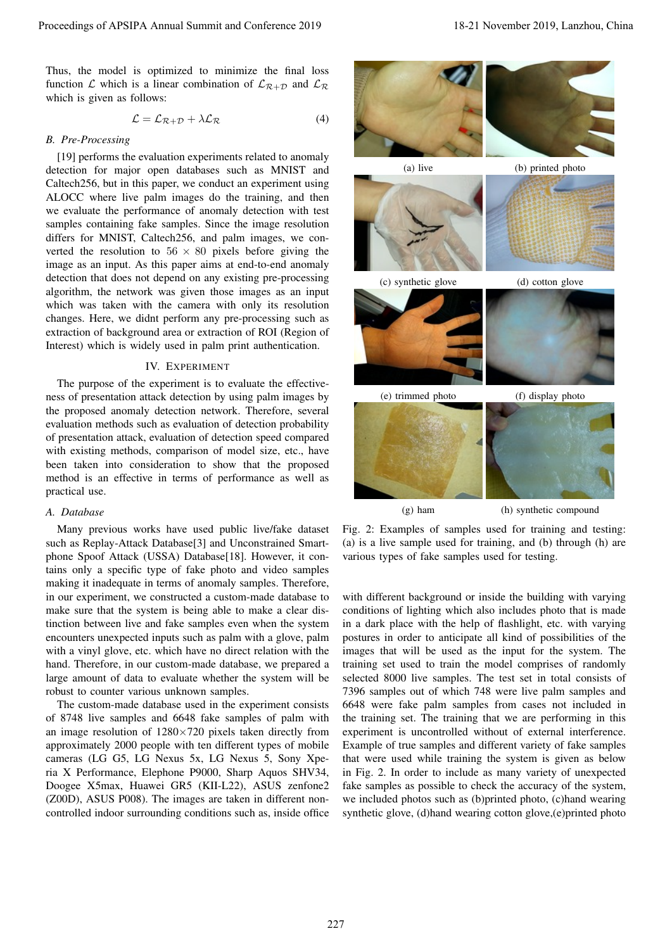Thus, the model is optimized to minimize the final loss function *L* which is a linear combination of  $\mathcal{L}_{R+D}$  and  $\mathcal{L}_R$ which is given as follows:

$$
\mathcal{L} = \mathcal{L}_{\mathcal{R} + \mathcal{D}} + \lambda \mathcal{L}_{\mathcal{R}} \tag{4}
$$

## *B. Pre-Processing*

[19] performs the evaluation experiments related to anomaly detection for major open databases such as MNIST and Caltech256, but in this paper, we conduct an experiment using ALOCC where live palm images do the training, and then we evaluate the performance of anomaly detection with test samples containing fake samples. Since the image resolution differs for MNIST, Caltech256, and palm images, we converted the resolution to  $56 \times 80$  pixels before giving the image as an input. As this paper aims at end-to-end anomaly detection that does not depend on any existing pre-processing algorithm, the network was given those images as an input which was taken with the camera with only its resolution changes. Here, we didnt perform any pre-processing such as extraction of background area or extraction of ROI (Region of Interest) which is widely used in palm print authentication.

## IV. EXPERIMENT

The purpose of the experiment is to evaluate the effectiveness of presentation attack detection by using palm images by the proposed anomaly detection network. Therefore, several evaluation methods such as evaluation of detection probability of presentation attack, evaluation of detection speed compared with existing methods, comparison of model size, etc., have been taken into consideration to show that the proposed method is an effective in terms of performance as well as practical use.

### *A. Database*

Many previous works have used public live/fake dataset such as Replay-Attack Database[3] and Unconstrained Smartphone Spoof Attack (USSA) Database[18]. However, it contains only a specific type of fake photo and video samples making it inadequate in terms of anomaly samples. Therefore, in our experiment, we constructed a custom-made database to make sure that the system is being able to make a clear distinction between live and fake samples even when the system encounters unexpected inputs such as palm with a glove, palm with a vinyl glove, etc. which have no direct relation with the hand. Therefore, in our custom-made database, we prepared a large amount of data to evaluate whether the system will be robust to counter various unknown samples.

The custom-made database used in the experiment consists of 8748 live samples and 6648 fake samples of palm with an image resolution of 1280*×*720 pixels taken directly from approximately 2000 people with ten different types of mobile cameras (LG G5, LG Nexus 5x, LG Nexus 5, Sony Xperia X Performance, Elephone P9000, Sharp Aquos SHV34, Doogee X5max, Huawei GR5 (KII-L22), ASUS zenfone2 (Z00D), ASUS P008). The images are taken in different noncontrolled indoor surrounding conditions such as, inside office



(g) ham (h) synthetic compound

Fig. 2: Examples of samples used for training and testing: (a) is a live sample used for training, and (b) through (h) are various types of fake samples used for testing.

with different background or inside the building with varying conditions of lighting which also includes photo that is made in a dark place with the help of flashlight, etc. with varying postures in order to anticipate all kind of possibilities of the images that will be used as the input for the system. The training set used to train the model comprises of randomly selected 8000 live samples. The test set in total consists of 7396 samples out of which 748 were live palm samples and 6648 were fake palm samples from cases not included in the training set. The training that we are performing in this experiment is uncontrolled without of external interference. Example of true samples and different variety of fake samples that were used while training the system is given as below in Fig. 2. In order to include as many variety of unexpected fake samples as possible to check the accuracy of the system, we included photos such as (b)printed photo, (c)hand wearing synthetic glove, (d)hand wearing cotton glove,(e)printed photo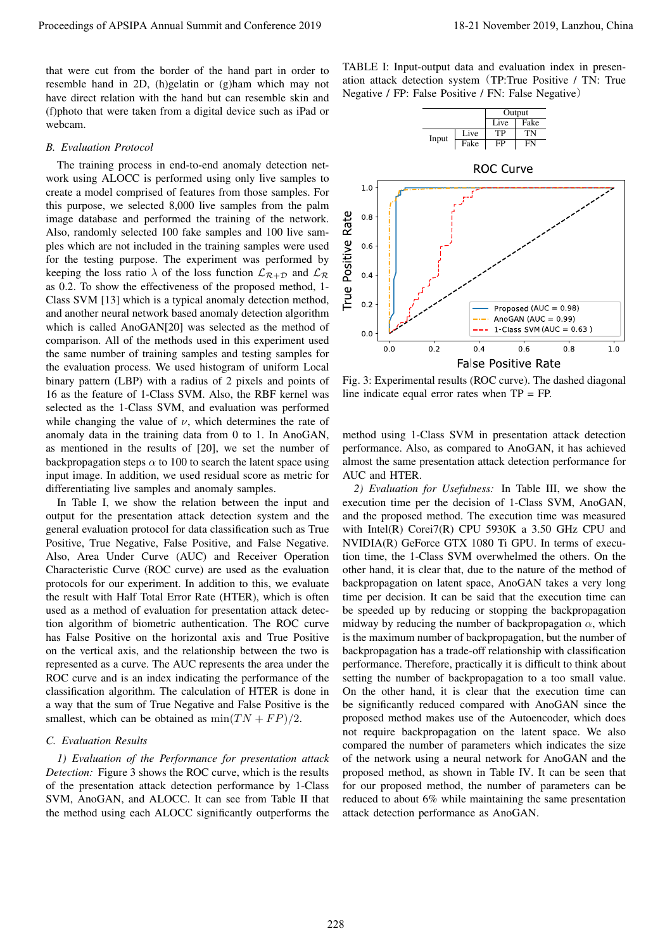that were cut from the border of the hand part in order to resemble hand in 2D, (h)gelatin or (g)ham which may not have direct relation with the hand but can resemble skin and (f)photo that were taken from a digital device such as iPad or webcam.

#### *B. Evaluation Protocol*

The training process in end-to-end anomaly detection network using ALOCC is performed using only live samples to create a model comprised of features from those samples. For this purpose, we selected 8,000 live samples from the palm image database and performed the training of the network. Also, randomly selected 100 fake samples and 100 live samples which are not included in the training samples were used for the testing purpose. The experiment was performed by keeping the loss ratio  $\lambda$  of the loss function  $\mathcal{L}_{\mathcal{R}+\mathcal{D}}$  and  $\mathcal{L}_{\mathcal{R}}$ as 0.2. To show the effectiveness of the proposed method, 1- Class SVM [13] which is a typical anomaly detection method, and another neural network based anomaly detection algorithm which is called AnoGAN[20] was selected as the method of comparison. All of the methods used in this experiment used the same number of training samples and testing samples for the evaluation process. We used histogram of uniform Local binary pattern (LBP) with a radius of 2 pixels and points of 16 as the feature of 1-Class SVM. Also, the RBF kernel was selected as the 1-Class SVM, and evaluation was performed while changing the value of  $\nu$ , which determines the rate of anomaly data in the training data from 0 to 1. In AnoGAN, as mentioned in the results of [20], we set the number of backpropagation steps  $\alpha$  to 100 to search the latent space using input image. In addition, we used residual score as metric for differentiating live samples and anomaly samples. Proceeding of APSIPA Annual Summit and Conference 2019<br>
However 2019 1 and conference 2019 1 and conference 2019 1 and conference 2019 1 and conference 2019 1 and conference 2019 1 and conference 2019 1 and conference 201

In Table I, we show the relation between the input and output for the presentation attack detection system and the general evaluation protocol for data classification such as True Positive, True Negative, False Positive, and False Negative. Also, Area Under Curve (AUC) and Receiver Operation Characteristic Curve (ROC curve) are used as the evaluation protocols for our experiment. In addition to this, we evaluate the result with Half Total Error Rate (HTER), which is often used as a method of evaluation for presentation attack detection algorithm of biometric authentication. The ROC curve has False Positive on the horizontal axis and True Positive on the vertical axis, and the relationship between the two is represented as a curve. The AUC represents the area under the ROC curve and is an index indicating the performance of the classification algorithm. The calculation of HTER is done in a way that the sum of True Negative and False Positive is the smallest, which can be obtained as  $\min(TN + FP)/2$ .

# *C. Evaluation Results*

*1) Evaluation of the Performance for presentation attack Detection:* Figure 3 shows the ROC curve, which is the results of the presentation attack detection performance by 1-Class SVM, AnoGAN, and ALOCC. It can see from Table II that the method using each ALOCC significantly outperforms the

TABLE I: Input-output data and evaluation index in presenation attack detection system(TP:True Positive / TN: True Negative / FP: False Positive / FN: False Negative)



Fig. 3: Experimental results (ROC curve). The dashed diagonal line indicate equal error rates when TP = FP.

method using 1-Class SVM in presentation attack detection performance. Also, as compared to AnoGAN, it has achieved almost the same presentation attack detection performance for AUC and HTER.

*2) Evaluation for Usefulness:* In Table III, we show the execution time per the decision of 1-Class SVM, AnoGAN, and the proposed method. The execution time was measured with Intel(R) Corei7(R) CPU 5930K a 3.50 GHz CPU and NVIDIA(R) GeForce GTX 1080 Ti GPU. In terms of execution time, the 1-Class SVM overwhelmed the others. On the other hand, it is clear that, due to the nature of the method of backpropagation on latent space, AnoGAN takes a very long time per decision. It can be said that the execution time can be speeded up by reducing or stopping the backpropagation midway by reducing the number of backpropagation  $\alpha$ , which is the maximum number of backpropagation, but the number of backpropagation has a trade-off relationship with classification performance. Therefore, practically it is difficult to think about setting the number of backpropagation to a too small value. On the other hand, it is clear that the execution time can be significantly reduced compared with AnoGAN since the proposed method makes use of the Autoencoder, which does not require backpropagation on the latent space. We also compared the number of parameters which indicates the size of the network using a neural network for AnoGAN and the proposed method, as shown in Table IV. It can be seen that for our proposed method, the number of parameters can be reduced to about 6% while maintaining the same presentation attack detection performance as AnoGAN.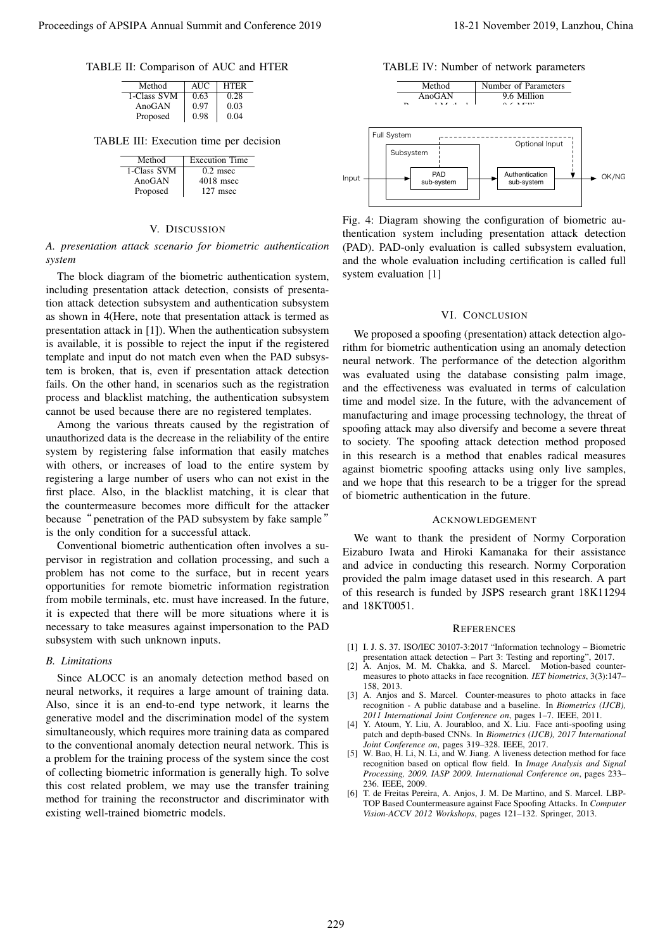TABLE II: Comparison of AUC and HTER

| Method      | AUC  | <b>HTER</b> |
|-------------|------|-------------|
| 1-Class SVM | 0.63 | 0.28        |
| AnoGAN      | 0.97 | 0.03        |
| Proposed    | 0.98 | 0.04        |

TABLE III: Execution time per decision

| Method      | <b>Execution Time</b> |
|-------------|-----------------------|
| 1-Class SVM | $0.2$ msec            |
| AnoGAN      | $4018$ msec           |
| Proposed    | 127 msec              |

# V. DISCUSSION

*A. presentation attack scenario for biometric authentication system*

The block diagram of the biometric authentication system, including presentation attack detection, consists of presentation attack detection subsystem and authentication subsystem as shown in 4(Here, note that presentation attack is termed as presentation attack in [1]). When the authentication subsystem is available, it is possible to reject the input if the registered template and input do not match even when the PAD subsystem is broken, that is, even if presentation attack detection fails. On the other hand, in scenarios such as the registration process and blacklist matching, the authentication subsystem cannot be used because there are no registered templates.

Among the various threats caused by the registration of unauthorized data is the decrease in the reliability of the entire system by registering false information that easily matches with others, or increases of load to the entire system by registering a large number of users who can not exist in the first place. Also, in the blacklist matching, it is clear that the countermeasure becomes more difficult for the attacker because "penetration of the PAD subsystem by fake sample" is the only condition for a successful attack.

Conventional biometric authentication often involves a supervisor in registration and collation processing, and such a problem has not come to the surface, but in recent years opportunities for remote biometric information registration from mobile terminals, etc. must have increased. In the future, it is expected that there will be more situations where it is necessary to take measures against impersonation to the PAD subsystem with such unknown inputs.

### *B. Limitations*

Since ALOCC is an anomaly detection method based on neural networks, it requires a large amount of training data. Also, since it is an end-to-end type network, it learns the generative model and the discrimination model of the system simultaneously, which requires more training data as compared to the conventional anomaly detection neural network. This is a problem for the training process of the system since the cost of collecting biometric information is generally high. To solve this cost related problem, we may use the transfer training method for training the reconstructor and discriminator with existing well-trained biometric models.





Fig. 4: Diagram showing the configuration of biometric authentication system including presentation attack detection (PAD). PAD-only evaluation is called subsystem evaluation, and the whole evaluation including certification is called full system evaluation [1]

## VI. CONCLUSION

We proposed a spoofing (presentation) attack detection algorithm for biometric authentication using an anomaly detection neural network. The performance of the detection algorithm was evaluated using the database consisting palm image, and the effectiveness was evaluated in terms of calculation time and model size. In the future, with the advancement of manufacturing and image processing technology, the threat of spoofing attack may also diversify and become a severe threat to society. The spoofing attack detection method proposed in this research is a method that enables radical measures against biometric spoofing attacks using only live samples, and we hope that this research to be a trigger for the spread of biometric authentication in the future. Proceeding of APSIPA Annual Summit at China 229 1991<br>
TABLE II We conference 2019 18-21 November 2019 18-21 November 2019 18-21 November 2019 18-21 November 2019 18-21 November 2019 18-21 November 2019 18-21 November 2019

#### ACKNOWLEDGEMENT

We want to thank the president of Normy Corporation Eizaburo Iwata and Hiroki Kamanaka for their assistance and advice in conducting this research. Normy Corporation provided the palm image dataset used in this research. A part of this research is funded by JSPS research grant 18K11294 and 18KT0051.

#### **REFERENCES**

- [1] I. J. S. 37. ISO/IEC 30107-3:2017 "Information technology Biometric presentation attack detection – Part 3: Testing and reporting", 2017.
- [2] A. Anjos, M. M. Chakka, and S. Marcel. Motion-based countermeasures to photo attacks in face recognition. *IET biometrics*, 3(3):147– 158, 2013.
- [3] A. Anjos and S. Marcel. Counter-measures to photo attacks in face recognition - A public database and a baseline. In *Biometrics (IJCB), 2011 International Joint Conference on*, pages 1–7. IEEE, 2011.
- [4] Y. Atoum, Y. Liu, A. Jourabloo, and X. Liu. Face anti-spoofing using patch and depth-based CNNs. In *Biometrics (IJCB), 2017 International Joint Conference on*, pages 319–328. IEEE, 2017.
- [5] W. Bao, H. Li, N. Li, and W. Jiang. A liveness detection method for face recognition based on optical flow field. In *Image Analysis and Signal Processing, 2009. IASP 2009. International Conference on*, pages 233– 236. IEEE, 2009.
- [6] T. de Freitas Pereira, A. Anjos, J. M. De Martino, and S. Marcel. LBP-TOP Based Countermeasure against Face Spoofing Attacks. In *Computer Vision-ACCV 2012 Workshops*, pages 121–132. Springer, 2013.